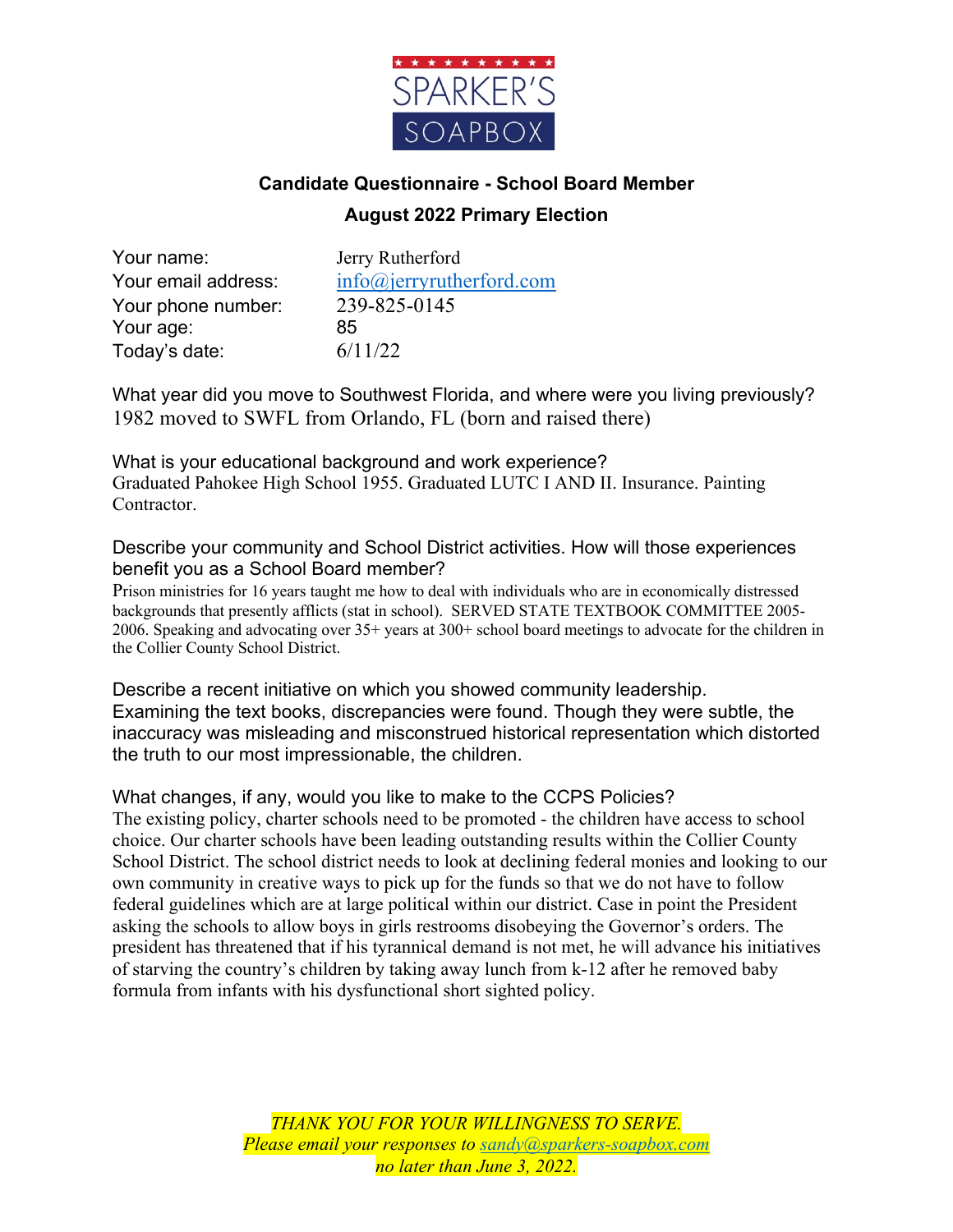

# **Candidate Questionnaire - School Board Member August 2022 Primary Election**

Your name: Jerry Rutherford Your phone number: 239-825-0145 Your age: 85 Today's date:  $6/11/22$ 

Your email address:  $\frac{info(\alpha)$  jerryrutherford.com

What year did you move to Southwest Florida, and where were you living previously? 1982 moved to SWFL from Orlando, FL (born and raised there)

What is your educational background and work experience? Graduated Pahokee High School 1955. Graduated LUTC I AND II. Insurance. Painting Contractor.

Describe your community and School District activities. How will those experiences benefit you as a School Board member?

Prison ministries for 16 years taught me how to deal with individuals who are in economically distressed backgrounds that presently afflicts (stat in school). SERVED STATE TEXTBOOK COMMITTEE 2005- 2006. Speaking and advocating over 35+ years at 300+ school board meetings to advocate for the children in the Collier County School District.

Describe a recent initiative on which you showed community leadership. Examining the text books, discrepancies were found. Though they were subtle, the inaccuracy was misleading and misconstrued historical representation which distorted the truth to our most impressionable, the children.

What changes, if any, would you like to make to the CCPS Policies?

The existing policy, charter schools need to be promoted - the children have access to school choice. Our charter schools have been leading outstanding results within the Collier County School District. The school district needs to look at declining federal monies and looking to our own community in creative ways to pick up for the funds so that we do not have to follow federal guidelines which are at large political within our district. Case in point the President asking the schools to allow boys in girls restrooms disobeying the Governor's orders. The president has threatened that if his tyrannical demand is not met, he will advance his initiatives of starving the country's children by taking away lunch from k-12 after he removed baby formula from infants with his dysfunctional short sighted policy.